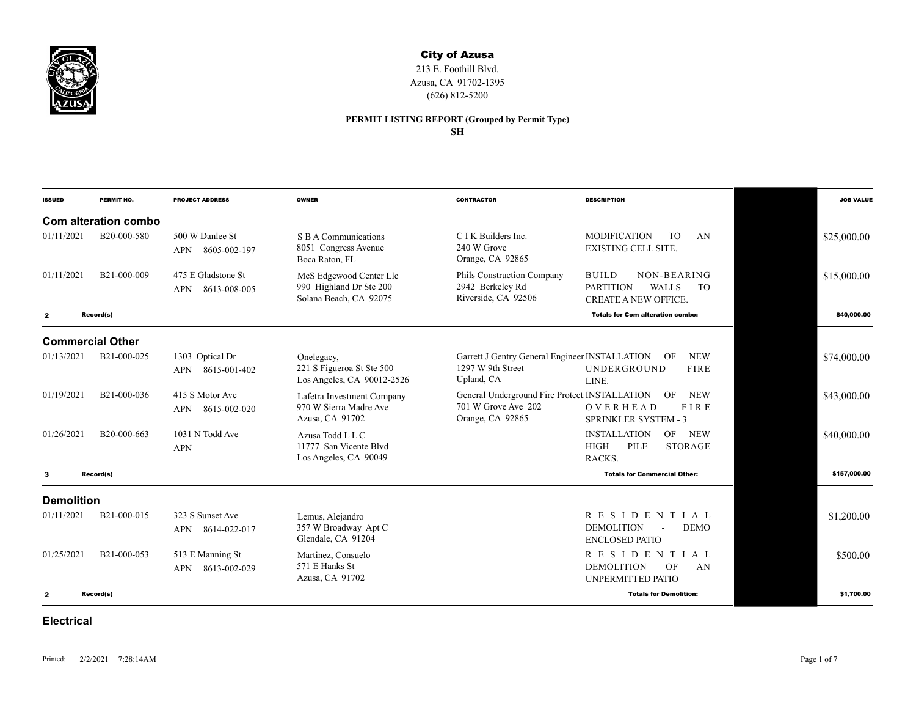

## City of Azusa

213 E. Foothill Blvd. Azusa, CA 91702-1395 (626) 812-5200

## **PERMIT LISTING REPORT (Grouped by Permit Type)**

**SH**

| <b>ISSUED</b>     | PERMIT NO.               | <b>PROJECT ADDRESS</b>                           | <b>OWNER</b>                                                                 | <b>CONTRACTOR</b>                                                                        | <b>DESCRIPTION</b>                                                                                          |             | <b>JOB VALUE</b> |
|-------------------|--------------------------|--------------------------------------------------|------------------------------------------------------------------------------|------------------------------------------------------------------------------------------|-------------------------------------------------------------------------------------------------------------|-------------|------------------|
|                   | Com alteration combo     |                                                  |                                                                              |                                                                                          |                                                                                                             |             |                  |
| 01/11/2021        | B20-000-580              | 500 W Danlee St<br>8605-002-197<br>APN           | S B A Communications<br>8051 Congress Avenue<br>Boca Raton, FL               | C I K Builders Inc.<br>240 W Grove<br>Orange, CA 92865                                   | <b>MODIFICATION</b><br>T <sub>O</sub><br>AN<br><b>EXISTING CELL SITE.</b>                                   | \$25,000.00 |                  |
| 01/11/2021        | B21-000-009              | 475 E Gladstone St<br>8613-008-005<br><b>APN</b> | McS Edgewood Center Llc<br>990 Highland Dr Ste 200<br>Solana Beach, CA 92075 | Phils Construction Company<br>2942 Berkeley Rd<br>Riverside, CA 92506                    | <b>BUILD</b><br>NON-BEARING<br><b>WALLS</b><br><b>PARTITION</b><br><b>TO</b><br><b>CREATE A NEW OFFICE.</b> | \$15,000.00 |                  |
| $\mathbf{z}$      | Record(s)                |                                                  |                                                                              |                                                                                          | <b>Totals for Com alteration combo:</b>                                                                     |             | \$40,000,00      |
|                   | <b>Commercial Other</b>  |                                                  |                                                                              |                                                                                          |                                                                                                             |             |                  |
| 01/13/2021        | B21-000-025              | 1303 Optical Dr<br>8615-001-402<br><b>APN</b>    | Onelegacy,<br>221 S Figueroa St Ste 500<br>Los Angeles, CA 90012-2526        | Garrett J Gentry General Engineer INSTALLATION<br>1297 W 9th Street<br>Upland, CA        | <b>NEW</b><br>OF<br>UNDERGROUND<br><b>FIRE</b><br>LINE.                                                     | \$74,000.00 |                  |
| 01/19/2021        | B <sub>21</sub> -000-036 | 415 S Motor Ave<br>8615-002-020<br><b>APN</b>    | Lafetra Investment Company<br>970 W Sierra Madre Ave<br>Azusa, CA 91702      | General Underground Fire Protect INSTALLATION<br>701 W Grove Ave 202<br>Orange, CA 92865 | <b>NEW</b><br>OF<br>OVERHEAD<br>FIRE<br><b>SPRINKLER SYSTEM - 3</b>                                         | \$43,000.00 |                  |
| 01/26/2021        | B20-000-663              | 1031 N Todd Ave<br><b>APN</b>                    | Azusa Todd L L C<br>11777 San Vicente Blvd<br>Los Angeles, CA 90049          |                                                                                          | <b>INSTALLATION</b><br>OF<br><b>NEW</b><br>PILE<br><b>HIGH</b><br><b>STORAGE</b><br>RACKS.                  | \$40,000.00 |                  |
| 3                 | Record(s)                |                                                  |                                                                              |                                                                                          | <b>Totals for Commercial Other:</b>                                                                         |             | \$157,000.00     |
| <b>Demolition</b> |                          |                                                  |                                                                              |                                                                                          |                                                                                                             |             |                  |
| 01/11/2021        | B21-000-015              | 323 S Sunset Ave<br>APN 8614-022-017             | Lemus, Alejandro<br>357 W Broadway Apt C<br>Glendale, CA 91204               |                                                                                          | <b>RESIDENTIAL</b><br><b>DEMOLITION</b><br><b>DEMO</b><br><b>ENCLOSED PATIO</b>                             | \$1,200.00  |                  |
| 01/25/2021        | B21-000-053              | 513 E Manning St<br>8613-002-029<br><b>APN</b>   | Martinez, Consuelo<br>571 E Hanks St<br>Azusa, CA 91702                      |                                                                                          | <b>RESIDENTI</b><br>A L<br><b>DEMOLITION</b><br>OF<br>AN<br>UNPERMITTED PATIO                               |             | \$500.00         |
| $\mathbf{z}$      | Record(s)                |                                                  |                                                                              |                                                                                          | <b>Totals for Demolition:</b>                                                                               |             | \$1,700,00       |

## **Electrical**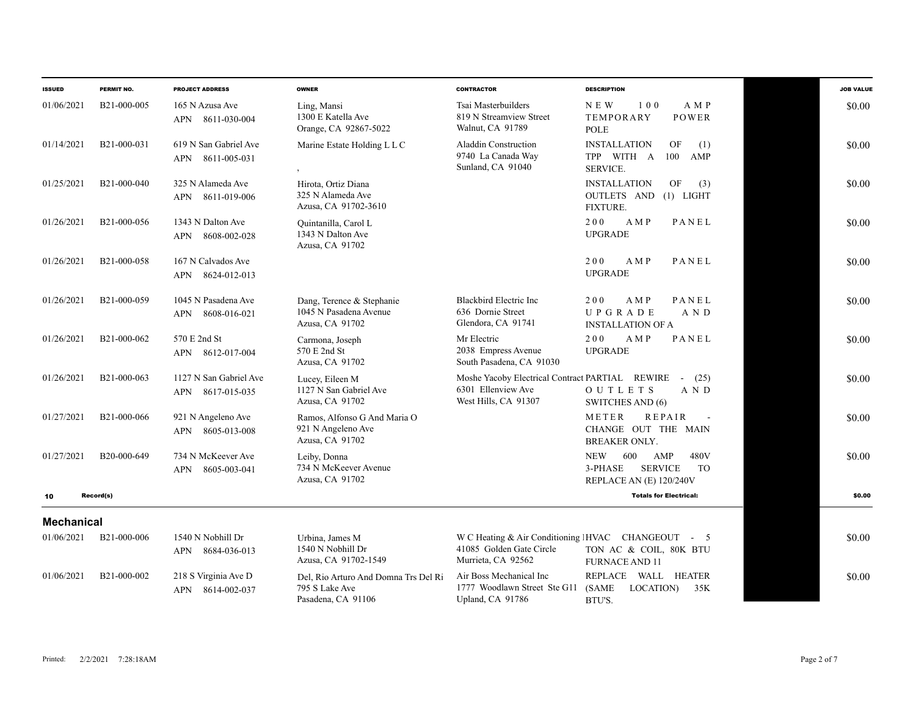| <b>ISSUED</b>     | PERMIT NO.               | <b>PROJECT ADDRESS</b>                            | <b>OWNER</b>                                                                 | <b>CONTRACTOR</b>                                                                             | <b>DESCRIPTION</b>                                                                                    | <b>JOB VALUE</b> |
|-------------------|--------------------------|---------------------------------------------------|------------------------------------------------------------------------------|-----------------------------------------------------------------------------------------------|-------------------------------------------------------------------------------------------------------|------------------|
| 01/06/2021        | B <sub>21</sub> -000-005 | 165 N Azusa Ave<br>APN 8611-030-004               | Ling, Mansi<br>1300 E Katella Ave<br>Orange, CA 92867-5022                   | Tsai Masterbuilders<br>819 N Streamview Street<br>Walnut, CA 91789                            | NEW<br>100<br>A M P<br>TEMPORARY<br>POWER<br><b>POLE</b>                                              | \$0.00           |
| 01/14/2021        | B21-000-031              | 619 N San Gabriel Ave<br>APN 8611-005-031         | Marine Estate Holding L L C                                                  | Aladdin Construction<br>9740 La Canada Way<br>Sunland, CA 91040                               | <b>INSTALLATION</b><br>OF<br>(1)<br>TPP WITH A<br>100<br>AMP<br><b>SERVICE.</b>                       | \$0.00           |
| 01/25/2021        | B21-000-040              | 325 N Alameda Ave<br>APN 8611-019-006             | Hirota, Ortiz Diana<br>325 N Alameda Ave<br>Azusa, CA 91702-3610             |                                                                                               | <b>INSTALLATION</b><br>OF<br>(3)<br>OUTLETS AND<br>$(1)$ LIGHT<br><b>FIXTURE.</b>                     | \$0.00           |
| 01/26/2021        | B21-000-056              | 1343 N Dalton Ave<br>8608-002-028<br><b>APN</b>   | Quintanilla, Carol L<br>1343 N Dalton Ave<br>Azusa, CA 91702                 |                                                                                               | 200<br>PANEL<br>A M P<br><b>UPGRADE</b>                                                               | \$0.00           |
| 01/26/2021        | B21-000-058              | 167 N Calvados Ave<br>8624-012-013<br><b>APN</b>  |                                                                              |                                                                                               | 200<br>A M P<br>PANEL<br><b>UPGRADE</b>                                                               | \$0.00           |
| 01/26/2021        | B <sub>21</sub> -000-059 | 1045 N Pasadena Ave<br>8608-016-021<br><b>APN</b> | Dang, Terence & Stephanie<br>1045 N Pasadena Avenue<br>Azusa, CA 91702       | <b>Blackbird Electric Inc</b><br>636 Dornie Street<br>Glendora, CA 91741                      | PANEL<br>200<br>A M P<br>UPGRADE<br>A N D<br><b>INSTALLATION OF A</b>                                 | \$0.00           |
| 01/26/2021        | B21-000-062              | 570 E 2nd St<br>APN 8612-017-004                  | Carmona, Joseph<br>570 E 2nd St<br>Azusa, CA 91702                           | Mr Electric<br>2038 Empress Avenue<br>South Pasadena, CA 91030                                | PANEL<br>200<br>A M P<br><b>UPGRADE</b>                                                               | \$0.00           |
| 01/26/2021        | B21-000-063              | 1127 N San Gabriel Ave<br>8617-015-035<br>APN     | Lucey, Eileen M<br>1127 N San Gabriel Ave<br>Azusa, CA 91702                 | Moshe Yacoby Electrical Contract PARTIAL REWIRE<br>6301 Ellenview Ave<br>West Hills, CA 91307 | (25)<br>$\sim$<br><b>OUTLETS</b><br>A N D<br>SWITCHES AND (6)                                         | \$0.00           |
| 01/27/2021        | B21-000-066              | 921 N Angeleno Ave<br>8605-013-008<br>APN         | Ramos, Alfonso G And Maria O<br>921 N Angeleno Ave<br>Azusa, CA 91702        |                                                                                               | <b>REPAIR</b><br>METER<br>CHANGE OUT THE MAIN<br>BREAKER ONLY.                                        | \$0.00           |
| 01/27/2021        | B20-000-649              | 734 N McKeever Ave<br>8605-003-041<br><b>APN</b>  | Leiby, Donna<br>734 N McKeever Avenue<br>Azusa, CA 91702                     |                                                                                               | <b>NEW</b><br>480V<br>600<br>AMP<br><b>SERVICE</b><br><b>TO</b><br>3-PHASE<br>REPLACE AN (E) 120/240V | \$0.00           |
| 10                | Record(s)                |                                                   |                                                                              |                                                                                               | <b>Totals for Electrical:</b>                                                                         | \$0.00           |
| <b>Mechanical</b> |                          |                                                   |                                                                              |                                                                                               |                                                                                                       |                  |
| 01/06/2021        | B21-000-006              | 1540 N Nobhill Dr<br>APN 8684-036-013             | Urbina, James M<br>1540 N Nobhill Dr<br>Azusa, CA 91702-1549                 | 41085 Golden Gate Circle<br>Murrieta, CA 92562                                                | W C Heating & Air Conditioning IHVAC CHANGEOUT - 5<br>TON AC & COIL, 80K BTU<br><b>FURNACE AND 11</b> | \$0.00           |
| 01/06/2021        | B21-000-002              | 218 S Virginia Ave D<br>8614-002-037<br>APN       | Del, Rio Arturo And Domna Trs Del Ri<br>795 S Lake Ave<br>Pasadena, CA 91106 | Air Boss Mechanical Inc<br>1777 Woodlawn Street Ste G11<br>Upland, CA 91786                   | REPLACE WALL HEATER<br>(SAME<br>LOCATION)<br>35K<br>BTU'S.                                            | \$0.00           |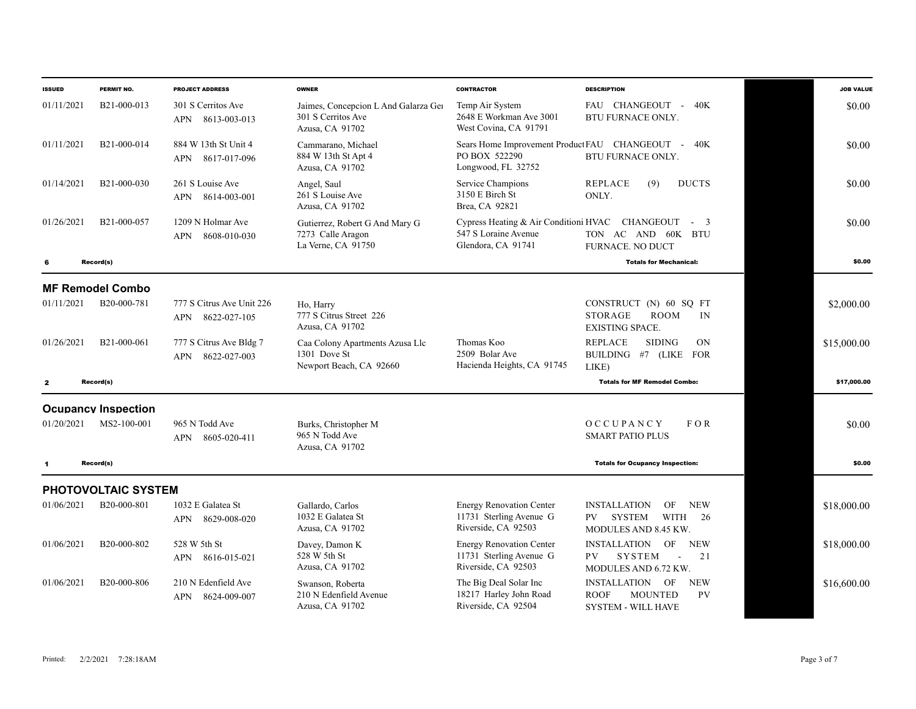| <b>ISSUED</b> | PERMIT NO.                 | <b>PROJECT ADDRESS</b>                                | <b>OWNER</b>                                                                  | <b>CONTRACTOR</b>                                                                   | <b>DESCRIPTION</b>                                                                                           | <b>JOB VALUE</b> |
|---------------|----------------------------|-------------------------------------------------------|-------------------------------------------------------------------------------|-------------------------------------------------------------------------------------|--------------------------------------------------------------------------------------------------------------|------------------|
| 01/11/2021    | B21-000-013                | 301 S Cerritos Ave<br>8613-003-013<br><b>APN</b>      | Jaimes, Concepcion L And Galarza Ger<br>301 S Cerritos Ave<br>Azusa, CA 91702 | Temp Air System<br>2648 E Workman Ave 3001<br>West Covina, CA 91791                 | FAU CHANGEOUT - 40K<br>BTU FURNACE ONLY.                                                                     | \$0.00           |
| 01/11/2021    | B21-000-014                | 884 W 13th St Unit 4<br>8617-017-096<br>APN           | Cammarano, Michael<br>884 W 13th St Apt 4<br>Azusa, CA 91702                  | PO BOX 522290<br>Longwood, FL 32752                                                 | Sears Home Improvement Product FAU CHANGEOUT - 40K<br>BTU FURNACE ONLY.                                      | \$0.00           |
| 01/14/2021    | B21-000-030                | 261 S Louise Ave<br>APN 8614-003-001                  | Angel, Saul<br>261 S Louise Ave<br>Azusa, CA 91702                            | Service Champions<br>3150 E Birch St<br>Brea, CA 92821                              | <b>REPLACE</b><br>(9)<br><b>DUCTS</b><br>ONLY.                                                               | \$0.00           |
| 01/26/2021    | B21-000-057                | 1209 N Holmar Ave<br>8608-010-030<br><b>APN</b>       | Gutierrez, Robert G And Mary G<br>7273 Calle Aragon<br>La Verne, CA 91750     | Cypress Heating & Air Conditioni HVAC<br>547 S Loraine Avenue<br>Glendora, CA 91741 | CHANGEOUT - 3<br>TON AC AND 60K BTU<br>FURNACE. NO DUCT                                                      | \$0.00           |
| -6            | Record(s)                  |                                                       |                                                                               |                                                                                     | <b>Totals for Mechanical:</b>                                                                                | \$0.00           |
|               | <b>MF Remodel Combo</b>    |                                                       |                                                                               |                                                                                     |                                                                                                              |                  |
| 01/11/2021    | B20-000-781                | 777 S Citrus Ave Unit 226<br>8622-027-105<br>APN      | Ho, Harry<br>777 S Citrus Street 226<br>Azusa, CA 91702                       |                                                                                     | CONSTRUCT (N) 60 SQ FT<br><b>ROOM</b><br><b>STORAGE</b><br>IN<br><b>EXISTING SPACE.</b>                      | \$2,000.00       |
| 01/26/2021    | B <sub>21</sub> -000-061   | 777 S Citrus Ave Bldg 7<br><b>APN</b><br>8622-027-003 | Caa Colony Apartments Azusa Llc<br>1301 Dove St<br>Newport Beach, CA 92660    | Thomas Koo<br>2509 Bolar Ave<br>Hacienda Heights, CA 91745                          | <b>REPLACE</b><br><b>SIDING</b><br>ON<br>BUILDING #7 (LIKE FOR<br>LIKE)                                      | \$15,000.00      |
| $\mathbf{z}$  | Record(s)                  |                                                       |                                                                               |                                                                                     | <b>Totals for MF Remodel Combo:</b>                                                                          | \$17,000.00      |
|               | <b>Ocupancy Inspection</b> |                                                       |                                                                               |                                                                                     |                                                                                                              |                  |
| 01/20/2021    | MS2-100-001                | 965 N Todd Ave<br>APN 8605-020-411                    | Burks, Christopher M<br>965 N Todd Ave<br>Azusa, CA 91702                     |                                                                                     | OCCUPANCY<br>FOR<br><b>SMART PATIO PLUS</b>                                                                  | \$0.00           |
| $\mathbf{1}$  | Record(s)                  |                                                       |                                                                               |                                                                                     | <b>Totals for Ocupancy Inspection:</b>                                                                       | \$0.00           |
|               | PHOTOVOLTAIC SYSTEM        |                                                       |                                                                               |                                                                                     |                                                                                                              |                  |
| 01/06/2021    | B20-000-801                | 1032 E Galatea St<br>8629-008-020<br>APN              | Gallardo, Carlos<br>1032 E Galatea St<br>Azusa, CA 91702                      | <b>Energy Renovation Center</b><br>11731 Sterling Avenue G<br>Riverside, CA 92503   | <b>INSTALLATION</b><br>OF<br><b>NEW</b><br><b>WITH</b><br><b>SYSTEM</b><br>26<br>PV.<br>MODULES AND 8.45 KW. | \$18,000.00      |
| 01/06/2021    | B20-000-802                | 528 W 5th St<br>APN 8616-015-021                      | Davey, Damon K<br>528 W 5th St<br>Azusa, CA 91702                             | <b>Energy Renovation Center</b><br>11731 Sterling Avenue G<br>Riverside, CA 92503   | INSTALLATION<br>OF<br><b>NEW</b><br>PV<br><b>SYSTEM</b><br>21<br>$\sim$<br>MODULES AND 6.72 KW.              | \$18,000.00      |
| 01/06/2021    | B <sub>20</sub> -000-806   | 210 N Edenfield Ave<br>8624-009-007<br>APN            | Swanson, Roberta<br>210 N Edenfield Avenue<br>Azusa, CA 91702                 | The Big Deal Solar Inc<br>18217 Harley John Road<br>Riverside, CA 92504             | <b>NEW</b><br>INSTALLATION<br>OF<br><b>ROOF</b><br><b>MOUNTED</b><br><b>PV</b><br><b>SYSTEM - WILL HAVE</b>  | \$16,600.00      |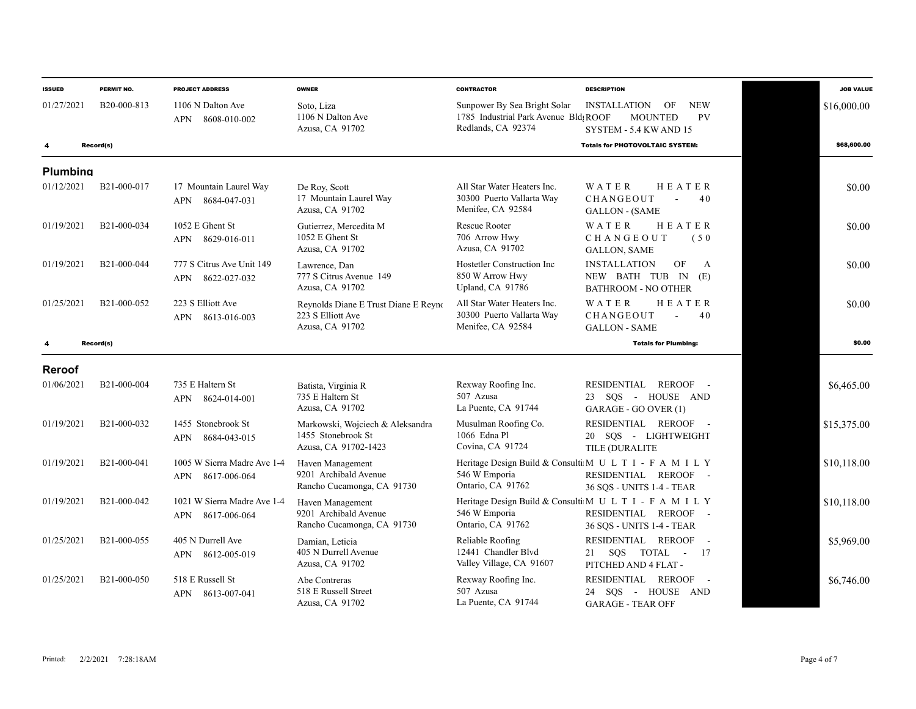| <b>ISSUED</b>   | PERMIT NO.               | <b>PROJECT ADDRESS</b>                             | <b>OWNER</b>                                                                   | <b>CONTRACTOR</b>                                                                           | <b>DESCRIPTION</b>                                                                                            | <b>JOB VALUE</b> |
|-----------------|--------------------------|----------------------------------------------------|--------------------------------------------------------------------------------|---------------------------------------------------------------------------------------------|---------------------------------------------------------------------------------------------------------------|------------------|
| 01/27/2021      | B20-000-813              | 1106 N Dalton Ave<br><b>APN</b><br>8608-010-002    | Soto, Liza<br>1106 N Dalton Ave<br>Azusa, CA 91702                             | Sunpower By Sea Bright Solar<br>1785 Industrial Park Avenue Bld: ROOF<br>Redlands, CA 92374 | <b>NEW</b><br>OF<br><b>INSTALLATION</b><br><b>PV</b><br><b>MOUNTED</b><br>SYSTEM - 5.4 KW AND 15              | \$16,000.00      |
|                 | Record(s)                |                                                    |                                                                                |                                                                                             | <b>Totals for PHOTOVOLTAIC SYSTEM:</b>                                                                        | \$68,600.00      |
| <b>Plumbing</b> |                          |                                                    |                                                                                |                                                                                             |                                                                                                               |                  |
| 01/12/2021      | B21-000-017              | 17 Mountain Laurel Way<br>8684-047-031<br>APN      | De Roy, Scott<br>17 Mountain Laurel Way<br>Azusa, CA 91702                     | All Star Water Heaters Inc.<br>30300 Puerto Vallarta Way<br>Menifee, CA 92584               | HEATER<br>WATER<br>CHANGEOUT<br>40<br>$\overline{a}$<br><b>GALLON - (SAME</b>                                 | \$0.00           |
| 01/19/2021      | B21-000-034              | 1052 E Ghent St<br>8629-016-011<br>APN             | Gutierrez, Mercedita M<br>1052 E Ghent St<br>Azusa, CA 91702                   | Rescue Rooter<br>706 Arrow Hwy<br>Azusa, CA 91702                                           | HEATER<br>WATER<br>CHANGEOUT<br>(50)<br><b>GALLON, SAME</b>                                                   | \$0.00           |
| 01/19/2021      | B21-000-044              | 777 S Citrus Ave Unit 149<br>8622-027-032<br>APN   | Lawrence, Dan<br>777 S Citrus Avenue 149<br>Azusa, CA 91702                    | Hostetler Construction Inc<br>850 W Arrow Hwy<br>Upland, CA 91786                           | OF<br><b>INSTALLATION</b><br>A<br>NEW BATH TUB IN (E)<br>BATHROOM - NO OTHER                                  | \$0.00           |
| 01/25/2021      | B <sub>21</sub> -000-052 | 223 S Elliott Ave<br>APN 8613-016-003              | Reynolds Diane E Trust Diane E Reyno<br>223 S Elliott Ave<br>Azusa, CA 91702   | All Star Water Heaters Inc.<br>30300 Puerto Vallarta Way<br>Menifee, CA 92584               | HEATER<br>WATER<br>CHANGEOUT<br>40<br>$\sim$<br><b>GALLON - SAME</b>                                          | \$0.00           |
|                 | Record(s)                |                                                    |                                                                                |                                                                                             | <b>Totals for Plumbing:</b>                                                                                   | \$0.00           |
| <b>Reroof</b>   |                          |                                                    |                                                                                |                                                                                             |                                                                                                               |                  |
| 01/06/2021      | B <sub>21</sub> -000-004 | 735 E Haltern St<br>APN 8624-014-001               | Batista, Virginia R<br>735 E Haltern St<br>Azusa, CA 91702                     | Rexway Roofing Inc.<br>507 Azusa<br>La Puente, CA 91744                                     | RESIDENTIAL REROOF -<br>23 SQS - HOUSE AND<br>GARAGE - GO OVER (1)                                            | \$6,465.00       |
| 01/19/2021      | B21-000-032              | 1455 Stonebrook St<br>8684-043-015<br>APN          | Markowski, Wojciech & Aleksandra<br>1455 Stonebrook St<br>Azusa, CA 91702-1423 | Musulman Roofing Co.<br>1066 Edna Pl<br>Covina, CA 91724                                    | RESIDENTIAL REROOF -<br>20 SOS - LIGHTWEIGHT<br>TILE (DURALITE                                                | \$15,375.00      |
| 01/19/2021      | B21-000-041              | 1005 W Sierra Madre Ave 1-4<br>8617-006-064<br>APN | Haven Management<br>9201 Archibald Avenue<br>Rancho Cucamonga, CA 91730        | 546 W Emporia<br>Ontario, CA 91762                                                          | Heritage Design Build & Consulti M U L T I - F A M I L Y<br>RESIDENTIAL REROOF -<br>36 SQS - UNITS 1-4 - TEAR | \$10,118.00      |
| 01/19/2021      | B21-000-042              | 1021 W Sierra Madre Ave 1-4<br>8617-006-064<br>APN | Haven Management<br>9201 Archibald Avenue<br>Rancho Cucamonga, CA 91730        | 546 W Emporia<br>Ontario, CA 91762                                                          | Heritage Design Build & Consulti M U L T I - F A M I L Y<br>RESIDENTIAL REROOF -<br>36 SQS - UNITS 1-4 - TEAR | \$10,118.00      |
| 01/25/2021      | B21-000-055              | 405 N Durrell Ave<br>8612-005-019<br>APN           | Damian, Leticia<br>405 N Durrell Avenue<br>Azusa, CA 91702                     | Reliable Roofing<br>12441 Chandler Blvd<br>Valley Village, CA 91607                         | RESIDENTIAL REROOF -<br>TOTAL - 17<br>SQS<br>21<br>PITCHED AND 4 FLAT -                                       | \$5,969.00       |
| 01/25/2021      | B21-000-050              | 518 E Russell St<br>8613-007-041<br><b>APN</b>     | Abe Contreras<br>518 E Russell Street<br>Azusa, CA 91702                       | Rexway Roofing Inc.<br>507 Azusa<br>La Puente, CA 91744                                     | RESIDENTIAL REROOF -<br>24 SQS - HOUSE AND<br><b>GARAGE - TEAR OFF</b>                                        | \$6,746.00       |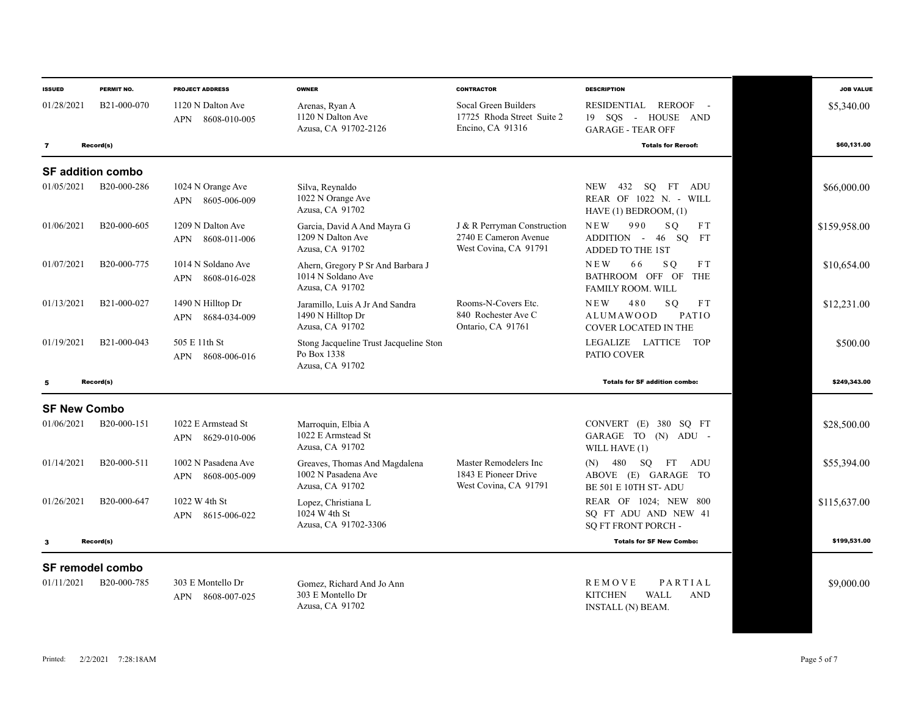| <b>ISSUED</b>           | PERMIT NO.                             | <b>PROJECT ADDRESS</b>                    | <b>OWNER</b>                                                               | <b>CONTRACTOR</b>                                                             | <b>DESCRIPTION</b>                                                                         | <b>JOB VALUE</b> |
|-------------------------|----------------------------------------|-------------------------------------------|----------------------------------------------------------------------------|-------------------------------------------------------------------------------|--------------------------------------------------------------------------------------------|------------------|
| 01/28/2021              | B <sub>21</sub> -000-070               | 1120 N Dalton Ave<br>APN 8608-010-005     | Arenas, Ryan A<br>1120 N Dalton Ave<br>Azusa, CA 91702-2126                | Socal Green Builders<br>17725 Rhoda Street Suite 2<br>Encino, CA 91316        | REROOF -<br>RESIDENTIAL<br>19 SOS - HOUSE AND<br><b>GARAGE - TEAR OFF</b>                  | \$5,340.00       |
| $\overline{\mathbf{z}}$ | Record(s)                              |                                           |                                                                            |                                                                               | <b>Totals for Reroof:</b>                                                                  | \$60,131.00      |
|                         | <b>SF addition combo</b>               |                                           |                                                                            |                                                                               |                                                                                            |                  |
| 01/05/2021              | B20-000-286                            | 1024 N Orange Ave<br>APN 8605-006-009     | Silva, Reynaldo<br>1022 N Orange Ave<br>Azusa, CA 91702                    |                                                                               | 432<br>SO FT ADU<br><b>NEW</b><br>REAR OF 1022 N. - WILL<br>HAVE (1) BEDROOM, (1)          | \$66,000.00      |
| 01/06/2021              | B <sub>20</sub> -000-605               | 1209 N Dalton Ave<br>APN 8608-011-006     | Garcia, David A And Mayra G<br>1209 N Dalton Ave<br>Azusa, CA 91702        | J & R Perryman Construction<br>2740 E Cameron Avenue<br>West Covina, CA 91791 | <b>NEW</b><br>990<br>SO <sub>1</sub><br>FT<br>ADDITION - 46 SQ FT<br>ADDED TO THE 1ST      | \$159,958.00     |
| 01/07/2021              | B20-000-775                            | 1014 N Soldano Ave<br>APN 8608-016-028    | Ahern, Gregory P Sr And Barbara J<br>1014 N Soldano Ave<br>Azusa, CA 91702 |                                                                               | NEW<br>66<br>S O<br>F T<br>BATHROOM OFF OF<br><b>THE</b><br>FAMILY ROOM. WILL              | \$10,654.00      |
| 01/13/2021              | B21-000-027                            | 1490 N Hilltop Dr<br>APN 8684-034-009     | Jaramillo, Luis A Jr And Sandra<br>1490 N Hilltop Dr<br>Azusa, CA 91702    | Rooms-N-Covers Etc.<br>840 Rochester Ave C<br>Ontario, CA 91761               | <b>NEW</b><br>480<br>SO.<br>FT<br><b>ALUMAWOOD</b><br>PATIO<br><b>COVER LOCATED IN THE</b> | \$12,231.00      |
| 01/19/2021              | B21-000-043                            | 505 E 11th St<br>APN 8608-006-016         | Stong Jacqueline Trust Jacqueline Ston<br>Po Box 1338<br>Azusa, CA 91702   |                                                                               | LEGALIZE LATTICE<br><b>TOP</b><br>PATIO COVER                                              | \$500.00         |
| 5                       | Record(s)                              |                                           |                                                                            |                                                                               | <b>Totals for SF addition combo:</b>                                                       | \$249,343,00     |
| <b>SF New Combo</b>     |                                        |                                           |                                                                            |                                                                               |                                                                                            |                  |
| 01/06/2021              | B20-000-151                            | 1022 E Armstead St<br>8629-010-006<br>APN | Marroquin, Elbia A<br>1022 E Armstead St<br>Azusa, CA 91702                |                                                                               | CONVERT (E) 380 SQ FT<br>GARAGE TO (N) ADU -<br>WILL HAVE (1)                              | \$28,500.00      |
| 01/14/2021              | B <sub>20</sub> -000-511               | 1002 N Pasadena Ave<br>APN 8608-005-009   | Greaves, Thomas And Magdalena<br>1002 N Pasadena Ave<br>Azusa, CA 91702    | Master Remodelers Inc<br>1843 E Pioneer Drive<br>West Covina, CA 91791        | 480 SQ FT ADU<br>(N)<br>ABOVE (E) GARAGE TO<br>BE 501 E 10TH ST-ADU                        | \$55,394.00      |
| 01/26/2021              | B20-000-647                            | 1022 W 4th St<br>APN 8615-006-022         | Lopez, Christiana L<br>1024 W 4th St<br>Azusa, CA 91702-3306               |                                                                               | REAR OF 1024; NEW 800<br>SO FT ADU AND NEW 41<br>SQ FT FRONT PORCH -                       | \$115,637.00     |
| 3                       | Record(s)                              |                                           |                                                                            |                                                                               | <b>Totals for SF New Combo:</b>                                                            | \$199,531.00     |
| 01/11/2021              | <b>SF remodel combo</b><br>B20-000-785 | 303 E Montello Dr<br>8608-007-025<br>APN  | Gomez. Richard And Jo Ann<br>303 E Montello Dr<br>Azusa, CA 91702          |                                                                               | PARTIAL<br>REMOVE<br><b>KITCHEN</b><br><b>WALL</b><br><b>AND</b><br>INSTALL (N) BEAM.      | \$9,000.00       |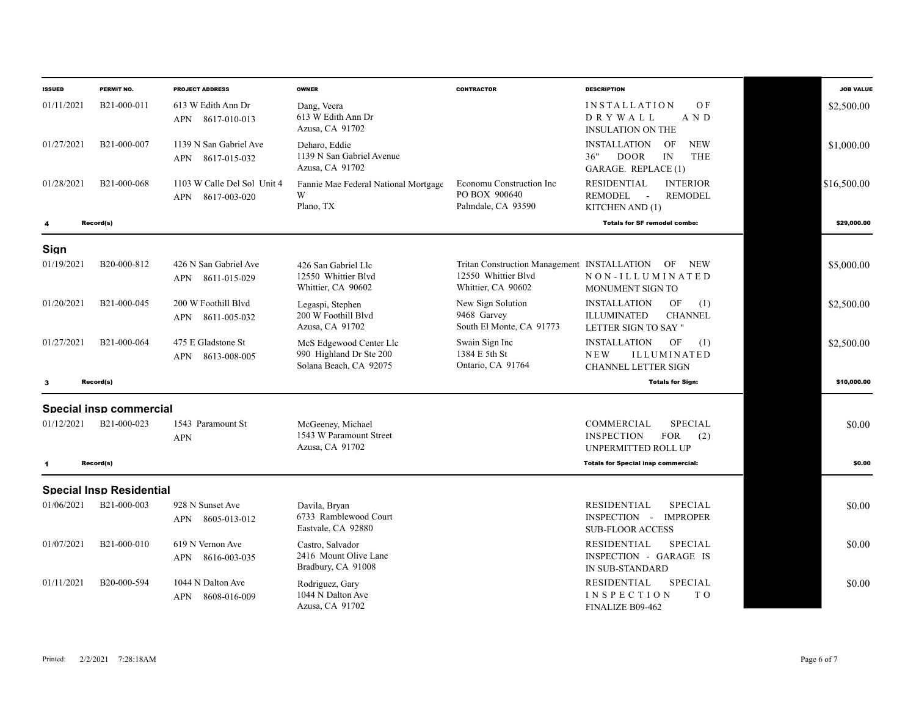| <b>ISSUED</b> | PERMIT NO.                      | <b>PROJECT ADDRESS</b>                                    | <b>OWNER</b>                                                                 | <b>CONTRACTOR</b>                                               | <b>DESCRIPTION</b>                                                                                     | <b>JOB VALUE</b> |
|---------------|---------------------------------|-----------------------------------------------------------|------------------------------------------------------------------------------|-----------------------------------------------------------------|--------------------------------------------------------------------------------------------------------|------------------|
| 01/11/2021    | B21-000-011                     | 613 W Edith Ann Dr<br>8617-010-013<br><b>APN</b>          | Dang, Veera<br>613 W Edith Ann Dr<br>Azusa, CA 91702                         |                                                                 | OF<br><b>INSTALLATION</b><br>A N D<br>DRYWALL<br><b>INSULATION ON THE</b>                              | \$2,500.00       |
| 01/27/2021    | B21-000-007                     | 1139 N San Gabriel Ave<br>8617-015-032<br>APN             | Deharo, Eddie<br>1139 N San Gabriel Avenue<br>Azusa, CA 91702                |                                                                 | <b>INSTALLATION</b><br>OF<br><b>NEW</b><br>36"<br><b>DOOR</b><br>IN<br>THE<br>GARAGE. REPLACE (1)      | \$1,000.00       |
| 01/28/2021    | B <sub>21</sub> -000-068        | 1103 W Calle Del Sol Unit 4<br><b>APN</b><br>8617-003-020 | Fannie Mae Federal National Mortgage<br>W<br>Plano, TX                       | Economu Construction Inc<br>PO BOX 900640<br>Palmdale, CA 93590 | <b>RESIDENTIAL</b><br><b>INTERIOR</b><br><b>REMODEL</b><br><b>REMODEL</b><br>$\sim$<br>KITCHEN AND (1) | \$16,500.00      |
| 4             | Record(s)                       |                                                           |                                                                              |                                                                 | <b>Totals for SF remodel combo:</b>                                                                    | \$29,000.00      |
| Sign          |                                 |                                                           |                                                                              |                                                                 |                                                                                                        |                  |
| 01/19/2021    | B20-000-812                     | 426 N San Gabriel Ave<br>8611-015-029<br>APN              | 426 San Gabriel Llc<br>12550 Whittier Blvd<br>Whittier, CA 90602             | 12550 Whittier Blvd<br>Whittier, CA 90602                       | Tritan Construction Management INSTALLATION OF NEW<br>NON-ILLUMINATED<br>MONUMENT SIGN TO              | \$5,000.00       |
| 01/20/2021    | B21-000-045                     | 200 W Foothill Blyd<br>8611-005-032<br>APN                | Legaspi, Stephen<br>200 W Foothill Blyd<br>Azusa, CA 91702                   | New Sign Solution<br>9468 Garvey<br>South El Monte, CA 91773    | <b>INSTALLATION</b><br>OF<br>(1)<br><b>ILLUMINATED</b><br><b>CHANNEL</b><br>LETTER SIGN TO SAY "       | \$2,500.00       |
| 01/27/2021    | B <sub>21</sub> -000-064        | 475 E Gladstone St<br>8613-008-005<br>APN                 | McS Edgewood Center Llc<br>990 Highland Dr Ste 200<br>Solana Beach, CA 92075 | Swain Sign Inc<br>1384 E 5th St<br>Ontario, CA 91764            | <b>INSTALLATION</b><br>OF<br>(1)<br>NEW<br><b>ILLUMINATED</b><br>CHANNEL LETTER SIGN                   | \$2,500.00       |
| 3             | Record(s)                       |                                                           |                                                                              |                                                                 | <b>Totals for Sign:</b>                                                                                | \$10,000.00      |
|               | Special insp commercial         |                                                           |                                                                              |                                                                 |                                                                                                        |                  |
| 01/12/2021    | B21-000-023                     | 1543 Paramount St<br><b>APN</b>                           | McGeeney, Michael<br>1543 W Paramount Street<br>Azusa, CA 91702              |                                                                 | COMMERCIAL<br><b>SPECIAL</b><br><b>INSPECTION</b><br><b>FOR</b><br>(2)<br>UNPERMITTED ROLL UP          | \$0.00           |
| $\mathbf{1}$  | Record(s)                       |                                                           |                                                                              |                                                                 | <b>Totals for Special insp commercial:</b>                                                             | \$0.00           |
|               | <b>Special Insp Residential</b> |                                                           |                                                                              |                                                                 |                                                                                                        |                  |
| 01/06/2021    | B21-000-003                     | 928 N Sunset Ave<br>APN 8605-013-012                      | Davila, Bryan<br>6733 Ramblewood Court<br>Eastvale, CA 92880                 |                                                                 | <b>RESIDENTIAL</b><br><b>SPECIAL</b><br>INSPECTION - IMPROPER<br><b>SUB-FLOOR ACCESS</b>               | \$0.00           |
| 01/07/2021    | B <sub>21</sub> -000-010        | 619 N Vernon Ave<br>8616-003-035<br>APN                   | Castro, Salvador<br>2416 Mount Olive Lane<br>Bradbury, CA 91008              |                                                                 | <b>RESIDENTIAL</b><br><b>SPECIAL</b><br>INSPECTION - GARAGE IS<br><b>IN SUB-STANDARD</b>               | \$0.00           |
| 01/11/2021    | B20-000-594                     | 1044 N Dalton Ave<br>8608-016-009<br>APN                  | Rodriguez, Gary<br>1044 N Dalton Ave<br>Azusa, CA 91702                      |                                                                 | <b>SPECIAL</b><br><b>RESIDENTIAL</b><br><b>INSPECTION</b><br>T O<br>FINALIZE B09-462                   | \$0.00           |